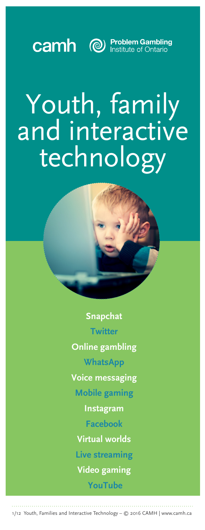

# Youth, family and interactive technology



**Snapchat Twitter** 

**Online gambling**

**WhatsApp**

**Voice messaging**

**Mobile gaming**

**Instagram**

**Facebook**

**Virtual worlds**

**Live streaming**

**Video gaming**

 **YouTube**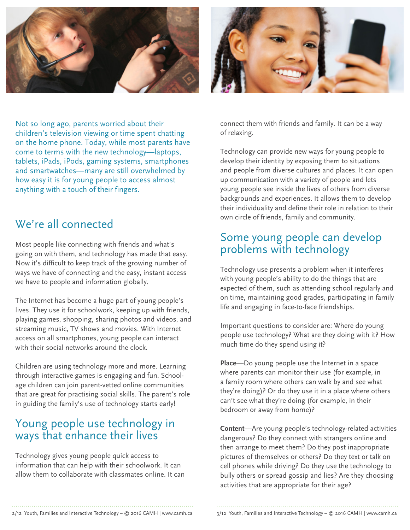



Not so long ago, parents worried about their children's television viewing or time spent chatting on the home phone. Today, while most parents have come to terms with the new technology—laptops, tablets, iPads, iPods, gaming systems, smartphones and smartwatches—many are still overwhelmed by how easy it is for young people to access almost anything with a touch of their fingers.

## We're all connected

Most people like connecting with friends and what's going on with them, and technology has made that easy. Now it's difficult to keep track of the growing number of ways we have of connecting and the easy, instant access we have to people and information globally.

The Internet has become a huge part of young people's lives. They use it for schoolwork, keeping up with friends, playing games, shopping, sharing photos and videos, and streaming music, TV shows and movies. With Internet access on all smartphones, young people can interact with their social networks around the clock.

Children are using technology more and more. Learning through interactive games is engaging and fun. Schoolage children can join parent-vetted online communities that are great for practising social skills. The parent's role in guiding the family's use of technology starts early!

## Young people use technology in ways that enhance their lives

Technology gives young people quick access to information that can help with their schoolwork. It can allow them to collaborate with classmates online. It can connect them with friends and family. It can be a way of relaxing.

Technology can provide new ways for young people to develop their identity by exposing them to situations and people from diverse cultures and places. It can open up communication with a variety of people and lets young people see inside the lives of others from diverse backgrounds and experiences. It allows them to develop their individuality and define their role in relation to their own circle of friends, family and community.

## Some young people can develop problems with technology

Technology use presents a problem when it interferes with young people's ability to do the things that are expected of them, such as attending school regularly and on time, maintaining good grades, participating in family life and engaging in face-to-face friendships.

Important questions to consider are: Where do young people use technology? What are they doing with it? How much time do they spend using it?

**Place**—Do young people use the Internet in a space where parents can monitor their use (for example, in a family room where others can walk by and see what they're doing)? Or do they use it in a place where others can't see what they're doing (for example, in their bedroom or away from home)?

**Content**—Are young people's technology-related activities dangerous? Do they connect with strangers online and then arrange to meet them? Do they post inappropriate pictures of themselves or others? Do they text or talk on cell phones while driving? Do they use the technology to bully others or spread gossip and lies? Are they choosing activities that are appropriate for their age?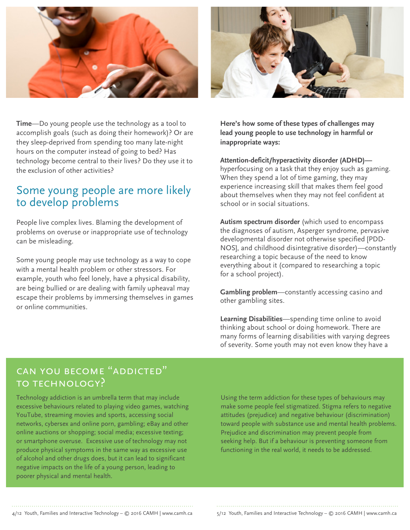



**Time**—Do young people use the technology as a tool to accomplish goals (such as doing their homework)? Or are they sleep-deprived from spending too many late-night hours on the computer instead of going to bed? Has technology become central to their lives? Do they use it to the exclusion of other activities?

## Some young people are more likely to develop problems

People live complex lives. Blaming the development of problems on overuse or inappropriate use of technology can be misleading.

Some young people may use technology as a way to cope with a mental health problem or other stressors. For example, youth who feel lonely, have a physical disability, are being bullied or are dealing with family upheaval may escape their problems by immersing themselves in games or online communities.

**Here's how some of these types of challenges may lead young people to use technology in harmful or inappropriate ways:**

**Attention-deficit/hyperactivity disorder (ADHD)** hyperfocusing on a task that they enjoy such as gaming. When they spend a lot of time gaming, they may experience increasing skill that makes them feel good about themselves when they may not feel confident at school or in social situations.

**Autism spectrum disorder** (which used to encompass the diagnoses of autism, Asperger syndrome, pervasive developmental disorder not otherwise specified [PDD-NOS], and childhood disintegrative disorder)—constantly researching a topic because of the need to know everything about it (compared to researching a topic for a school project).

**Gambling problem**—constantly accessing casino and other gambling sites.

**Learning Disabilities**—spending time online to avoid thinking about school or doing homework. There are many forms of learning disabilities with varying degrees of severity. Some youth may not even know they have a

## CAN YOU BECOME "ADDICTED" to technology?

Technology addiction is an umbrella term that may include excessive behaviours related to playing video games, watching YouTube, streaming movies and sports, accessing social networks, cybersex and online porn, gambling; eBay and other online auctions or shopping; social media; excessive texting; or smartphone overuse. Excessive use of technology may not produce physical symptoms in the same way as excessive use of alcohol and other drugs does, but it can lead to significant negative impacts on the life of a young person, leading to poorer physical and mental health.

Using the term addiction for these types of behaviours may make some people feel stigmatized. Stigma refers to negative attitudes (prejudice) and negative behaviour (discrimination) toward people with substance use and mental health problems. Prejudice and discrimination may prevent people from seeking help. But if a behaviour is preventing someone from functioning in the real world, it needs to be addressed.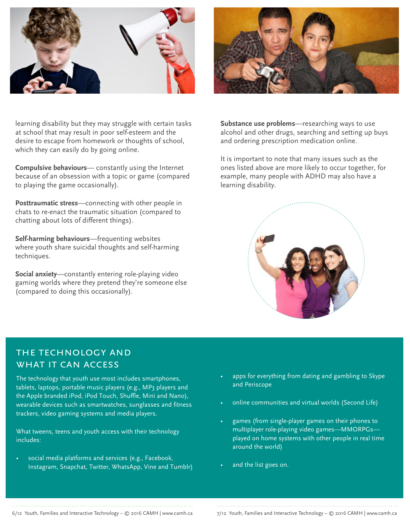

learning disability but they may struggle with certain tasks at school that may result in poor self-esteem and the desire to escape from homework or thoughts of school, which they can easily do by going online.

**Compulsive behaviours**— constantly using the Internet because of an obsession with a topic or game (compared to playing the game occasionally).

**Posttraumatic stress**—connecting with other people in chats to re-enact the traumatic situation (compared to chatting about lots of different things).

**Self-harming behaviours**—frequenting websites where youth share suicidal thoughts and self-harming techniques.

**Social anxiety**—constantly entering role-playing video gaming worlds where they pretend they're someone else (compared to doing this occasionally).



**Substance use problems**—researching ways to use alcohol and other drugs, searching and setting up buys and ordering prescription medication online.

It is important to note that many issues such as the ones listed above are more likely to occur together, for example, many people with ADHD may also have a learning disability.



## the technology and WHAT IT CAN ACCESS

The technology that youth use most includes smartphones, tablets, laptops, portable music players (e.g., MP3 players and the Apple branded iPod, iPod Touch, Shuffle, Mini and Nano), wearable devices such as smartwatches, sunglasses and fitness trackers, video gaming systems and media players.

What tweens, teens and youth access with their technology includes:

social media platforms and services (e.g., Facebook, Instagram, Snapchat, Twitter, WhatsApp, Vine and Tumblr)

- apps for everything from dating and gambling to Skype and Periscope
- online communities and virtual worlds (Second Life)
- games (from single-player games on their phones to multiplayer role-playing video games—MMORPGs played on home systems with other people in real time around the world)
- and the list goes on.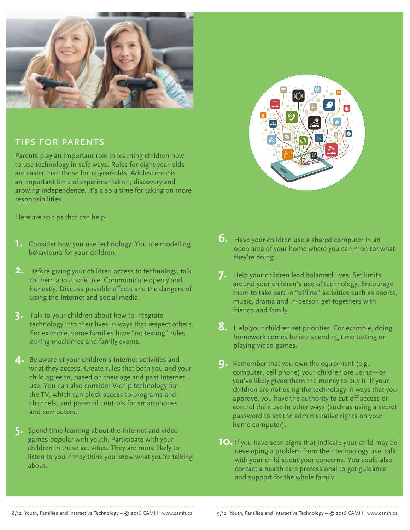

### tips for parents

Parents play an important role in teaching children how to use technology in safe ways. Rules for eight-year-olds are easier than those for 14-year-olds. Adolescence is an important time of experimentation, discovery and growing independence. It's also a time for taking on more responsibilities.

Here are 10 tips that can help.

- **1.** Consider how you use technology. You are modelling behaviours for your children.
- **2.** Before giving your children access to technology, talk to them about safe use. Communicate openly and honestly. Discuss possible effects and the dangers of using the Internet and social media.
- **3.** Talk to your children about how to integrate technology into their lives in ways that respect others. For example, some families have "no texting" rules during mealtimes and family events.
- **4.** Be aware of your children's Internet activities and what they access. Create rules that both you and your child agree to, based on their age and past Internet use. You can also consider V-chip technology for the TV, which can block access to programs and channels, and parental controls for smartphones and computers.
- **5.** Spend time learning about the Internet and video games popular with youth. Participate with your children in these activities. They are more likely to listen to you if they think you know what you're talking about.



- **6.** Have your children use a shared computer in an open area of your home where you can monitor what they're doing.
- **7.** Help your children lead balanced lives. Set limits around your children's use of technology. Encourage them to take part in "offline" activities such as sports, music, drama and in-person get-togethers with friends and family.
- **8.** Help your children set priorities. For example, doing homework comes before spending time texting or playing video games.
- **9.** Remember that you own the equipment (e.g., computer, cell phone) your children are using—or you've likely given them the money to buy it. If your children are not using the technology in ways that you approve, you have the authority to cut off access or control their use in other ways (such as using a secret password to set the administrative rights on your home computer).
- **10.** If you have seen signs that indicate your child may be developing a problem from their technology use, talk with your child about your concerns. You could also contact a health care professional to get guidance and support for the whole family.

8/12 Youth, Families and Interactive Technology – © 2016 CAMH | www.camh.ca 9/12 Youth, Families and Interactive Technology – © 2016 CAMH | www.camh.ca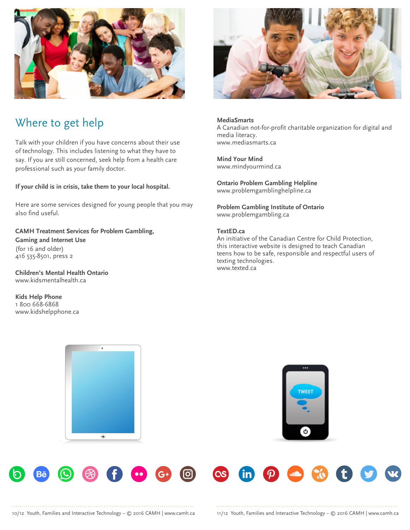

# Where to get help

Talk with your children if you have concerns about their use of technology. This includes listening to what they have to say. If you are still concerned, seek help from a health care professional such as your family doctor.

#### **If your child is in crisis, take them to your local hospital.**

Here are some services designed for young people that you may also find useful.

**CAMH Treatment Services for Problem Gambling, Gaming and Internet Use**  (for 16 and older) 416 535-8501, press 2

**Children's Mental Health Ontario** www.kidsmentalhealth.ca

**Kids Help Phone** 1 800 668-6868 www.kidshelpphone.ca



**MediaSmarts** A Canadian not-for-profit charitable organization for digital and media literacy. www.mediasmarts.ca

**Mind Your Mind** www.mindyourmind.ca

**Ontario Problem Gambling Helpline** www.problemgamblinghelpline.ca

**Problem Gambling Institute of Ontario**  www.problemgambling.ca

#### **TextED.ca**

An initiative of the Canadian Centre for Child Protection, this interactive website is designed to teach Canadian teens how to be safe, responsible and respectful users of texting technologies. www.texted.ca